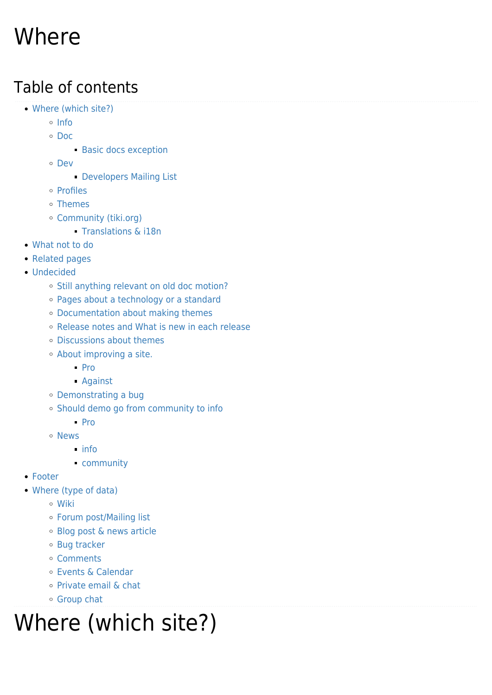# Where

### Table of contents

- [Where \(which site?\)](#page--1-0)
	- o [Info](#page--1-0)
	- [Doc](#page--1-0)
		- **[Basic docs exception](#page--1-0)**
	- [Dev](#page--1-0)
		- **[Developers Mailing List](#page--1-0)**
	- o [Profiles](#page--1-0)
	- [Themes](#page--1-0)
	- [Community \(tiki.org\)](#Community_tiki.org_)
		- [Translations & i18n](#page--1-0)
- [What not to do](#page--1-0)
- [Related pages](#page--1-0)
- [Undecided](#page--1-0)
	- o [Still anything relevant on old doc motion?](#page--1-0)
	- [Pages about a technology or a standard](#page--1-0)
	- [Documentation about making themes](#page--1-0)
	- [Release notes and What is new in each release](#page--1-0)
	- [Discussions about themes](#page--1-0)
	- [About improving a site.](#About_improving_a_site.)
		- [Pro](#page--1-0)
		- [Against](#page--1-0)
	- [Demonstrating a bug](#page--1-0)
	- [Should demo go from community to info](#page--1-0)
		- $\blacksquare$  [Pro](#page--1-0)
	- [News](#page--1-0)
		- $\blacksquare$  [info](#page--1-0)
		- [community](#page--1-0)
- [Footer](#page--1-0)
- [Where \(type of data\)](#page--1-0)
	- [Wiki](#page--1-0)
	- [Forum post/Mailing list](#page--1-0)
	- [Blog post & news article](#page--1-0)
	- [Bug tracker](#page--1-0)
	- [Comments](#page--1-0)
	- [Events & Calendar](#page--1-0)
	- [Private email & chat](#page--1-0)
	- [Group chat](#page--1-0)

# Where (which site?)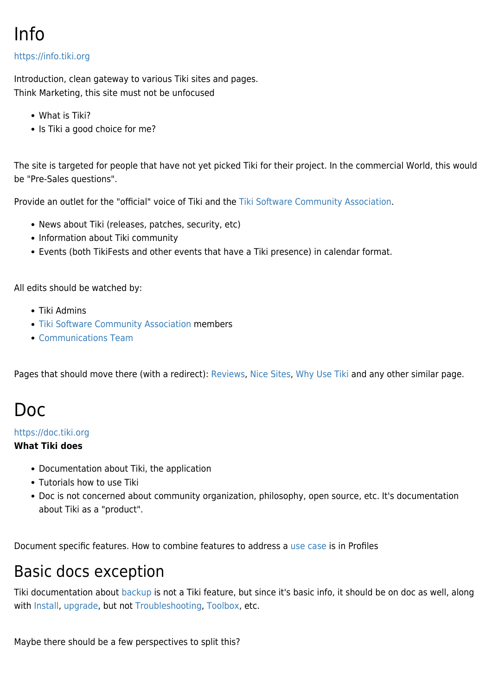### Info

#### <https://info.tiki.org>

Introduction, clean gateway to various Tiki sites and pages. Think Marketing, this site must not be unfocused

- What is Tiki?
- Is Tiki a good choice for me?

The site is targeted for people that have not yet picked Tiki for their project. In the commercial World, this would be "Pre-Sales questions".

Provide an outlet for the "official" voice of Tiki and the [Tiki Software Community Association.](https://tiki.org/Tiki-Software-Community-Association)

- News about Tiki (releases, patches, security, etc)
- Information about Tiki community
- Events (both TikiFests and other events that have a Tiki presence) in calendar format.

All edits should be watched by:

- Tiki Admins
- [Tiki Software Community Association](https://tiki.org/Tiki-Software-Community-Association) members
- [Communications Team](https://tiki.org/Communications-Team)

Pages that should move there (with a redirect): [Reviews](https://tiki.org/Reviews), [Nice Sites,](https://tiki.org/Nice-Sites) [Why Use Tiki](https://tiki.org/Why-Use-Tiki) and any other similar page.

### Doc

#### <https://doc.tiki.org>

#### **What Tiki does**

- Documentation about Tiki, the application
- Tutorials how to use Tiki
- Doc is not concerned about community organization, philosophy, open source, etc. It's documentation about Tiki as a "product".

Document specific features. How to combine features to address a [use case](https://tiki.org/Use-Cases) is in Profiles

### Basic docs exception

Tiki documentation about [backup](http://doc.tiki.org/backup) is not a Tiki feature, but since it's basic info, it should be on doc as well, along with [Install](http://doc.tiki.org/Install), [upgrade,](http://doc.tiki.org/upgrade) but not [Troubleshooting](http://doc.tiki.org/Troubleshooting), [Toolbox,](http://doc.tiki.org/Toolbox) etc.

Maybe there should be a few perspectives to split this?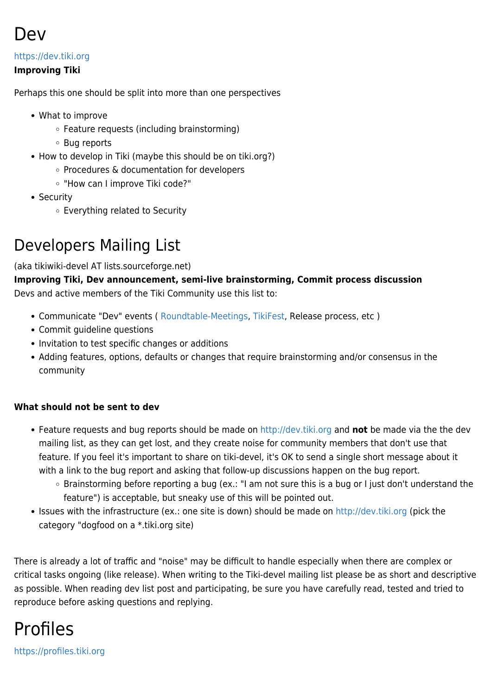

#### <https://dev.tiki.org>

#### **Improving Tiki**

Perhaps this one should be split into more than one perspectives

- What to improve
	- $\circ$  Feature requests (including brainstorming)
	- Bug reports
- How to develop in Tiki (maybe this should be on tiki.org?)
	- Procedures & documentation for developers
	- "How can I improve Tiki code?"
- Security
	- Everything related to Security

### Developers Mailing List

(aka tikiwiki-devel AT lists.sourceforge.net)

**Improving Tiki, Dev announcement, semi-live brainstorming, Commit process discussion** Devs and active members of the Tiki Community use this list to:

- Communicate "Dev" events ( [Roundtable-Meetings](https://tiki.org/Roundtable-Meetings), [TikiFest](https://tiki.org/TikiFest), Release process, etc )
- Commit guideline questions
- Invitation to test specific changes or additions
- Adding features, options, defaults or changes that require brainstorming and/or consensus in the community

#### **What should not be sent to dev**

- Feature requests and bug reports should be made on<http://dev.tiki.org>and **not** be made via the the dev mailing list, as they can get lost, and they create noise for community members that don't use that feature. If you feel it's important to share on tiki-devel, it's OK to send a single short message about it with a link to the bug report and asking that follow-up discussions happen on the bug report.
	- Brainstorming before reporting a bug (ex.: "I am not sure this is a bug or I just don't understand the feature") is acceptable, but sneaky use of this will be pointed out.
- Issues with the infrastructure (ex.: one site is down) should be made on<http://dev.tiki.org>(pick the category "dogfood on a \*.tiki.org site)

There is already a lot of traffic and "noise" may be difficult to handle especially when there are complex or critical tasks ongoing (like release). When writing to the Tiki-devel mailing list please be as short and descriptive as possible. When reading dev list post and participating, be sure you have carefully read, tested and tried to reproduce before asking questions and replying.

### Profiles

<https://profiles.tiki.org>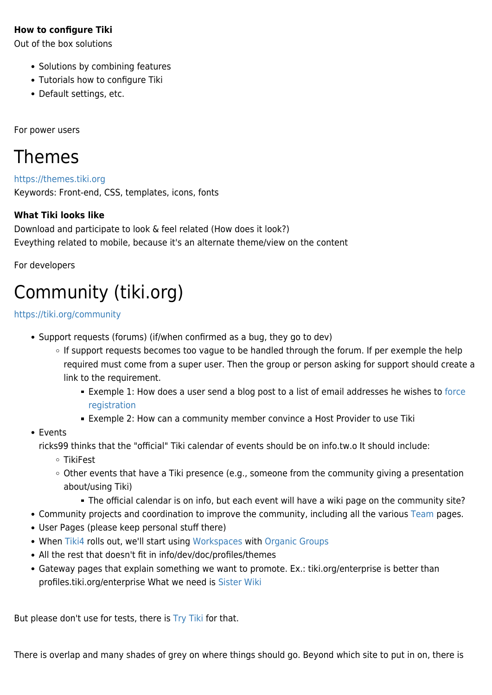#### **How to configure Tiki**

Out of the box solutions

- Solutions by combining features
- Tutorials how to configure Tiki
- Default settings, etc.

For power users

### Themes

<https://themes.tiki.org> Keywords: Front-end, CSS, templates, icons, fonts

#### **What Tiki looks like**

Download and participate to look & feel related (How does it look?) Eveything related to mobile, because it's an alternate theme/view on the content

For developers

# Community (tiki.org)

#### <https://tiki.org/community>

- Support requests (forums) (if/when confirmed as a bug, they go to dev)
	- o If support requests becomes too vague to be handled through the forum. If per exemple the help required must come from a super user. Then the group or person asking for support should create a link to the requirement.
		- Exemple 1: How does a user send a blog post to a list of email addresses he wishes to [force](https://tiki.org/tiki-view_forum_thread.php?comments_parentId=42824&topics_offset=5) [registration](https://tiki.org/tiki-view_forum_thread.php?comments_parentId=42824&topics_offset=5)
		- **Exemple 2: How can a community member convince a Host Provider to use Tiki**
- Events

ricks99 thinks that the "official" Tiki calendar of events should be on info.tw.o It should include:

- TikiFest
- Other events that have a Tiki presence (e.g., someone from the community giving a presentation about/using Tiki)
	- The official calendar is on info, but each event will have a wiki page on the community site?
- Community projects and coordination to improve the community, including all the various [Team](https://tiki.org/Teams) pages.
- User Pages (please keep personal stuff there)
- When [Tiki4](http://doc.tiki.org/Tiki4) rolls out, we'll start using [Workspaces](http://doc.tiki.org/Workspaces) with [Organic Groups](http://doc.tiki.org/Organic%20Groups)
- All the rest that doesn't fit in info/dev/doc/profiles/themes
- Gateway pages that explain something we want to promote. Ex.: tiki.org/enterprise is better than profiles.tiki.org/enterprise What we need is [Sister Wiki](http://dev.tiki.org/Sister%20Wiki)

But please don't use for tests, there is [Try Tiki](https://tiki.org/Try-Tiki) for that.

There is overlap and many shades of grey on where things should go. Beyond which site to put in on, there is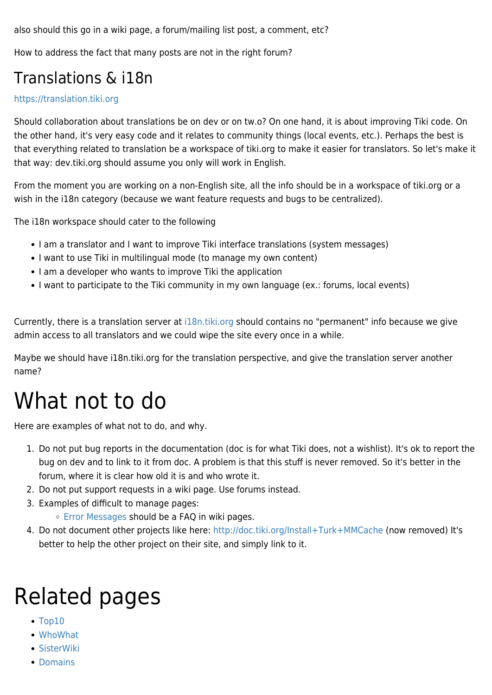also should this go in a wiki page, a forum/mailing list post, a comment, etc?

How to address the fact that many posts are not in the right forum?

### Translations & i18n

#### <https://translation.tiki.org>

Should collaboration about translations be on dev or on tw.o? On one hand, it is about improving Tiki code. On the other hand, it's very easy code and it relates to community things (local events, etc.). Perhaps the best is that everything related to translation be a workspace of tiki.org to make it easier for translators. So let's make it that way: dev.tiki.org should assume you only will work in English.

From the moment you are working on a non-English site, all the info should be in a workspace of tiki.org or a wish in the i18n category (because we want feature requests and bugs to be centralized).

The i18n workspace should cater to the following

- I am a translator and I want to improve Tiki interface translations (system messages)
- I want to use Tiki in multilingual mode (to manage my own content)
- I am a developer who wants to improve Tiki the application
- I want to participate to the Tiki community in my own language (ex.: forums, local events)

Currently, there is a translation server at [i18n.tiki.org](https://tiki.org/i18n.tiki.org) should contains no "permanent" info because we give admin access to all translators and we could wipe the site every once in a while.

Maybe we should have i18n.tiki.org for the translation perspective, and give the translation server another name?

# What not to do

Here are examples of what not to do, and why.

- 1. Do not put bug reports in the documentation (doc is for what Tiki does, not a wishlist). It's ok to report the bug on dev and to link to it from doc. A problem is that this stuff is never removed. So it's better in the forum, where it is clear how old it is and who wrote it.
- 2. Do not put support requests in a wiki page. Use forums instead.
- 3. Examples of difficult to manage pages:
	- [Error Messages](http://doc.tiki.org/Error%20Messages) should be a FAQ in wiki pages.
- 4. Do not document other projects like here:<http://doc.tiki.org/Install+Turk+MMCache>(now removed) It's better to help the other project on their site, and simply link to it.

# Related pages

- [Top10](https://tiki.org/Top10)
- [WhoWhat](https://tiki.org/WhoWhat)
- [SisterWiki](http://dev.tiki.org/SisterWiki)
- [Domains](https://tiki.org/Domains)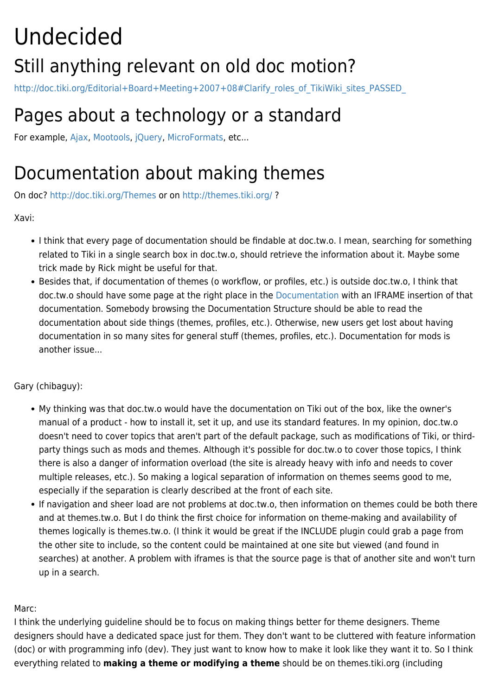# Undecided Still anything relevant on old doc motion?

http://doc.tiki.org/Editorial+Board+Meeting+2007+08#Clarify\_roles\_of\_TikiWiki\_sites\_PASSED

## Pages about a technology or a standard

For example, [Ajax,](http://doc.tiki.org/Ajax) [Mootools](http://doc.tiki.org/Mootools), [jQuery](http://doc.tiki.org/jQuery), [MicroFormats](http://doc.tiki.org/MicroFormats), etc...

### Documentation about making themes

On doc?<http://doc.tiki.org/Themes> or on <http://themes.tiki.org/> ?

Xavi:

- I think that every page of documentation should be findable at doc.tw.o. I mean, searching for something related to Tiki in a single search box in doc.tw.o, should retrieve the information about it. Maybe some trick made by Rick might be useful for that.
- Besides that, if documentation of themes (o workflow, or profiles, etc.) is outside doc.tw.o, I think that doc.tw.o should have some page at the right place in the [Documentation](http://doc.tiki.org/Documentation) with an IFRAME insertion of that documentation. Somebody browsing the Documentation Structure should be able to read the documentation about side things (themes, profiles, etc.). Otherwise, new users get lost about having documentation in so many sites for general stuff (themes, profiles, etc.). Documentation for mods is another issue...

Gary (chibaguy):

- My thinking was that doc.tw.o would have the documentation on Tiki out of the box, like the owner's manual of a product - how to install it, set it up, and use its standard features. In my opinion, doc.tw.o doesn't need to cover topics that aren't part of the default package, such as modifications of Tiki, or thirdparty things such as mods and themes. Although it's possible for doc.tw.o to cover those topics, I think there is also a danger of information overload (the site is already heavy with info and needs to cover multiple releases, etc.). So making a logical separation of information on themes seems good to me, especially if the separation is clearly described at the front of each site.
- If navigation and sheer load are not problems at doc.tw.o, then information on themes could be both there and at themes.tw.o. But I do think the first choice for information on theme-making and availability of themes logically is themes.tw.o. (I think it would be great if the INCLUDE plugin could grab a page from the other site to include, so the content could be maintained at one site but viewed (and found in searches) at another. A problem with iframes is that the source page is that of another site and won't turn up in a search.

#### Marc:

I think the underlying guideline should be to focus on making things better for theme designers. Theme designers should have a dedicated space just for them. They don't want to be cluttered with feature information (doc) or with programming info (dev). They just want to know how to make it look like they want it to. So I think everything related to **making a theme or modifying a theme** should be on themes.tiki.org (including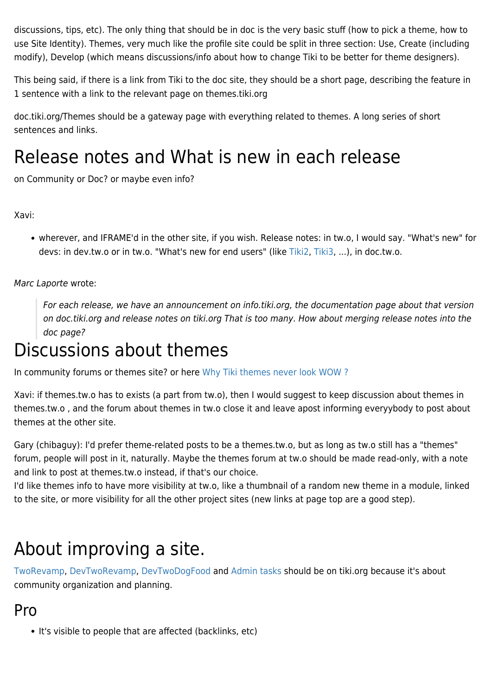discussions, tips, etc). The only thing that should be in doc is the very basic stuff (how to pick a theme, how to use Site Identity). Themes, very much like the profile site could be split in three section: Use, Create (including modify), Develop (which means discussions/info about how to change Tiki to be better for theme designers).

This being said, if there is a link from Tiki to the doc site, they should be a short page, describing the feature in 1 sentence with a link to the relevant page on themes.tiki.org

doc.tiki.org/Themes should be a gateway page with everything related to themes. A long series of short sentences and links.

# Release notes and What is new in each release

on Community or Doc? or maybe even info?

Xavi:

wherever, and IFRAME'd in the other site, if you wish. Release notes: in tw.o, I would say. "What's new" for devs: in dev.tw.o or in tw.o. "What's new for end users" (like [Tiki2,](http://doc.tiki.org/Tiki2) [Tiki3,](http://doc.tiki.org/Tiki3) ...), in doc.tw.o.

Marc Laporte wrote:

For each release, we have an announcement on info.tiki.org, the documentation page about that version on doc.tiki.org and release notes on tiki.org That is too many. How about merging release notes into the doc page?

## Discussions about themes

In community forums or themes site? or here [Why Tiki themes never look WOW ?](http://dev.tiki.org/Why%20Tiki%20themes%20never%20look%20WOW%20%3F)

Xavi: if themes.tw.o has to exists (a part from tw.o), then I would suggest to keep discussion about themes in themes.tw.o , and the forum about themes in tw.o close it and leave apost informing everyybody to post about themes at the other site.

Gary (chibaguy): I'd prefer theme-related posts to be a themes.tw.o, but as long as tw.o still has a "themes" forum, people will post in it, naturally. Maybe the themes forum at tw.o should be made read-only, with a note and link to post at themes.tw.o instead, if that's our choice.

I'd like themes info to have more visibility at tw.o, like a thumbnail of a random new theme in a module, linked to the site, or more visibility for all the other project sites (new links at page top are a good step).

## About improving a site.

[TwoRevamp](https://tiki.org/TwoRevamp), [DevTwoRevamp,](http://dev.tiki.org/DevTwoRevamp) [DevTwoDogFood](http://dev.tiki.org/DevTwoDogFood) and [Admin tasks](http://info.tiki.org/Admin%20tasks) should be on tiki.org because it's about community organization and planning.

### Pro

• It's visible to people that are affected (backlinks, etc)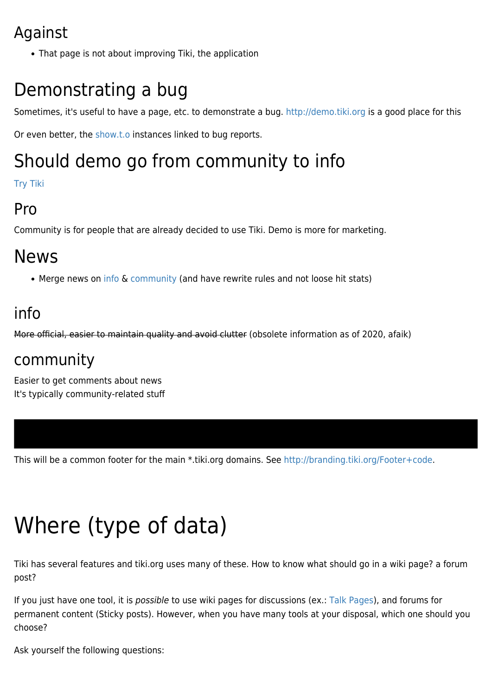### Against

That page is not about improving Tiki, the application

# Demonstrating a bug

Sometimes, it's useful to have a page, etc. to demonstrate a bug.<http://demo.tiki.org> is a good place for this

Or even better, the [show.t.o](http://dev.tiki.org/show.tiki.org-Overview) instances linked to bug reports.

# Should demo go from community to info

[Try Tiki](https://tiki.org/Try-Tiki)

### Pro

Community is for people that are already decided to use Tiki. Demo is more for marketing.

## News

• Merge news on [info](http://info.tiki.org/tiki-view_articles.php) & [community](http://tiki.org/tiki-view_articles.php) (and have rewrite rules and not loose hit stats)

### info

More official, easier to maintain quality and avoid clutter (obsolete information as of 2020, afaik)

### community

Easier to get comments about news It's typically community-related stuff

This will be a common footer for the main \*.tiki.org domains. See <http://branding.tiki.org/Footer+code>.

# Where (type of data)

Tiki has several features and tiki.org uses many of these. How to know what should go in a wiki page? a forum post?

If you just have one tool, it is possible to use wiki pages for discussions (ex.: [Talk Pages\)](http://doc.tiki.org/Talk%20Pages), and forums for permanent content (Sticky posts). However, when you have many tools at your disposal, which one should you choose?

Ask yourself the following questions: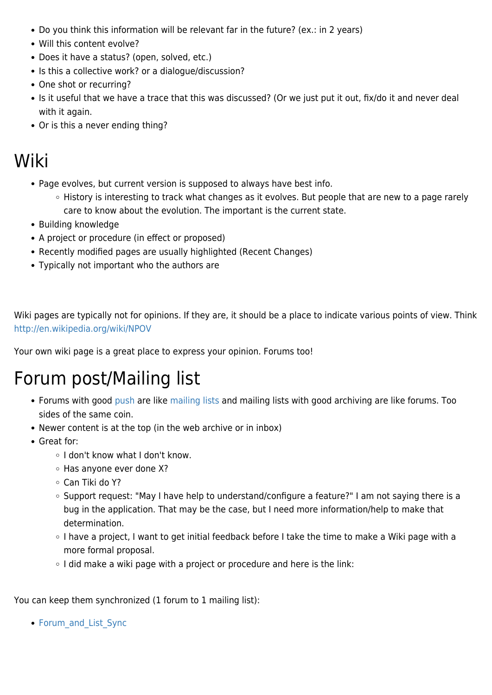- Do you think this information will be relevant far in the future? (ex.: in 2 years)
- Will this content evolve?
- Does it have a status? (open, solved, etc.)
- Is this a collective work? or a dialogue/discussion?
- One shot or recurring?
- Is it useful that we have a trace that this was discussed? (Or we just put it out, fix/do it and never deal with it again.
- Or is this a never ending thing?

### Wiki

- Page evolves, but current version is supposed to always have best info.
	- History is interesting to track what changes as it evolves. But people that are new to a page rarely care to know about the evolution. The important is the current state.
- Building knowledge
- A project or procedure (in effect or proposed)
- Recently modified pages are usually highlighted (Recent Changes)
- Typically not important who the authors are

Wiki pages are typically not for opinions. If they are, it should be a place to indicate various points of view. Think <http://en.wikipedia.org/wiki/NPOV>

Your own wiki page is a great place to express your opinion. Forums too!

### Forum post/Mailing list

- Forums with good [push](http://doc.tiki.org/push) are like [mailing lists](http://doc.tiki.org/mailing%20lists) and mailing lists with good archiving are like forums. Too sides of the same coin.
- Newer content is at the top (in the web archive or in inbox)
- Great for:
	- o I don't know what I don't know.
	- $\circ$  Has anyone ever done X?
	- Can Tiki do Y?
	- Support request: "May I have help to understand/configure a feature?" I am not saying there is a bug in the application. That may be the case, but I need more information/help to make that determination.
	- I have a project, I want to get initial feedback before I take the time to make a Wiki page with a more formal proposal.
	- $\circ$  I did make a wiki page with a project or procedure and here is the link:

You can keep them synchronized (1 forum to 1 mailing list):

• Forum and List Sync